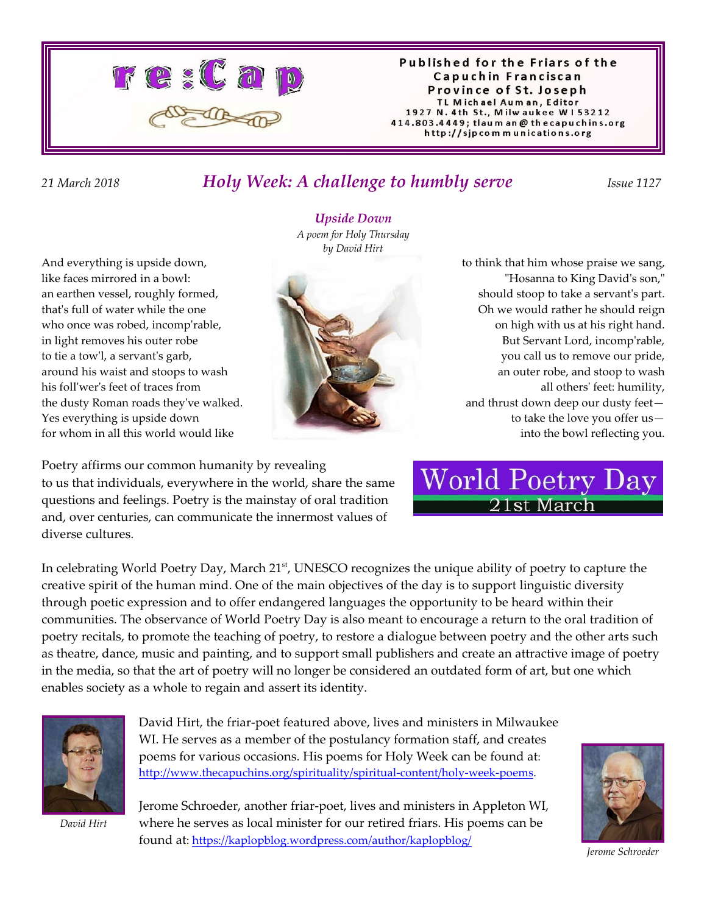

#### Published for the Friars of the Capuchin Franciscan Province of St. Joseph TL Michael Auman, Editor 1927 N. 4th St., Milwaukee W153212 414.803.4449; tlaum an @ thecapuchins.org http://sjpcommunications.org

### *21 March 2018 Holy Week: A challenge to humbly serve Issue 1127*

*Upside Down*

And everything is upside down, like faces mirrored in a bowl: an earthen vessel, roughly formed, that's full of water while the one who once was robed, incomp'rable, in light removes his outer robe to tie a tow'l, a servant's garb, around his waist and stoops to wash his foll'wer's feet of traces from the dusty Roman roads they've walked. Yes everything is upside down for whom in all this world would like

Poetry affirms our common humanity by revealing to us that individuals, everywhere in the world, share the same questions and feelings. Poetry is the mainstay of oral tradition and, over centuries, can communicate the innermost values of diverse cultures.

to think that him whose praise we sang, "Hosanna to King David's son," should stoop to take a servant's part. Oh we would rather he should reign on high with us at his right hand. But Servant Lord, incomp'rable, you call us to remove our pride, an outer robe, and stoop to wash all others' feet: humility, and thrust down deep our dusty feet to take the love you offer us into the bowl reflecting you.

**World Poetry Day** 

21st March

In celebrating World Poetry Day, March 21<sup>st</sup>, UNESCO recognizes the unique ability of poetry to capture the creative spirit of the human mind. One of the main objectives of the day is to support linguistic diversity through poetic expression and to offer endangered languages the opportunity to be heard within their communities. The observance of World Poetry Day is also meant to encourage a return to the oral tradition of poetry recitals, to promote the teaching of poetry, to restore a dialogue between poetry and the other arts such as theatre, dance, music and painting, and to support small publishers and create an attractive image of poetry in the media, so that the art of poetry will no longer be considered an outdated form of art, but one which enables society as a whole to regain and assert its identity.



<span id="page-0-0"></span>*David Hirt*

David Hirt, the friar-poet featured above, lives and ministers in Milwaukee WI. He serves as a member of the postulancy formation staff, and creates poems for various occasions. His poems for Holy Week can be found at: [http://www.thecapuchins.org/spirituality/spiritual-content/holy-week-poems](#page-0-0).

Jerome Schroeder, another friar-poet, lives and ministers in Appleton WI, where he serves as local minister for our retired friars. His poems can be found at:<https://kaplopblog.wordpress.com/author/kaplopblog/>



*Jerome Schroeder*

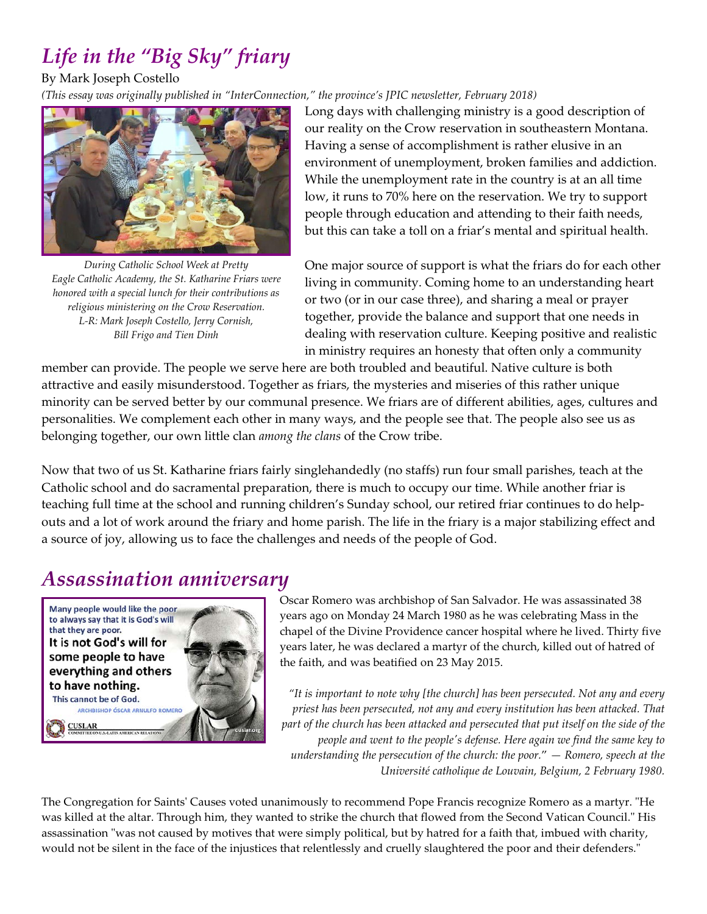# *Life in the "Big Sky" friary*

By Mark Joseph Costello

*(This essay was originally published in "InterConnection," the province's JPIC newsletter, February 2018)*



*During Catholic School Week at Pretty Eagle Catholic Academy, the St. Katharine Friars were honored with a special lunch for their contributions as religious ministering on the Crow Reservation. L-R: Mark Joseph Costello, Jerry Cornish, Bill Frigo and Tien Dinh*

Long days with challenging ministry is a good description of our reality on the Crow reservation in southeastern Montana. Having a sense of accomplishment is rather elusive in an environment of unemployment, broken families and addiction. While the unemployment rate in the country is at an all time low, it runs to 70% here on the reservation. We try to support people through education and attending to their faith needs, but this can take a toll on a friar's mental and spiritual health.

One major source of support is what the friars do for each other living in community. Coming home to an understanding heart or two (or in our case three), and sharing a meal or prayer together, provide the balance and support that one needs in dealing with reservation culture. Keeping positive and realistic in ministry requires an honesty that often only a community

member can provide. The people we serve here are both troubled and beautiful. Native culture is both attractive and easily misunderstood. Together as friars, the mysteries and miseries of this rather unique minority can be served better by our communal presence. We friars are of different abilities, ages, cultures and personalities. We complement each other in many ways, and the people see that. The people also see us as belonging together, our own little clan *among the clans* of the Crow tribe.

Now that two of us St. Katharine friars fairly singlehandedly (no staffs) run four small parishes, teach at the Catholic school and do sacramental preparation, there is much to occupy our time. While another friar is teaching full time at the school and running children's Sunday school, our retired friar continues to do helpouts and a lot of work around the friary and home parish. The life in the friary is a major stabilizing effect and a source of joy, allowing us to face the challenges and needs of the people of God.

### *Assassination anniversary*



Oscar Romero was archbishop of San Salvador. He was assassinated 38 years ago on Monday 24 March 1980 as he was celebrating Mass in the chapel of the Divine Providence cancer hospital where he lived. Thirty five years later, he was declared a martyr of the church, killed out of hatred of the faith, and was beatified on 23 May 2015.

*"It is important to note why [the church] has been persecuted. Not any and every priest has been persecuted, not any and every institution has been attacked. That part of the church has been attacked and persecuted that put itself on the side of the people and went to the people's defense. Here again we find the same key to understanding the persecution of the church: the poor.*" *— Romero, speech at the Université catholique de Louvain, Belgium, 2 February 1980.*

The Congregation for Saints' Causes voted unanimously to recommend Pope Francis recognize Romero as a martyr. "He was killed at the altar. Through him, they wanted to strike the church that flowed from the Second Vatican Council." His assassination "was not caused by motives that were simply political, but by hatred for a faith that, imbued with charity, would not be silent in the face of the injustices that relentlessly and cruelly slaughtered the poor and their defenders."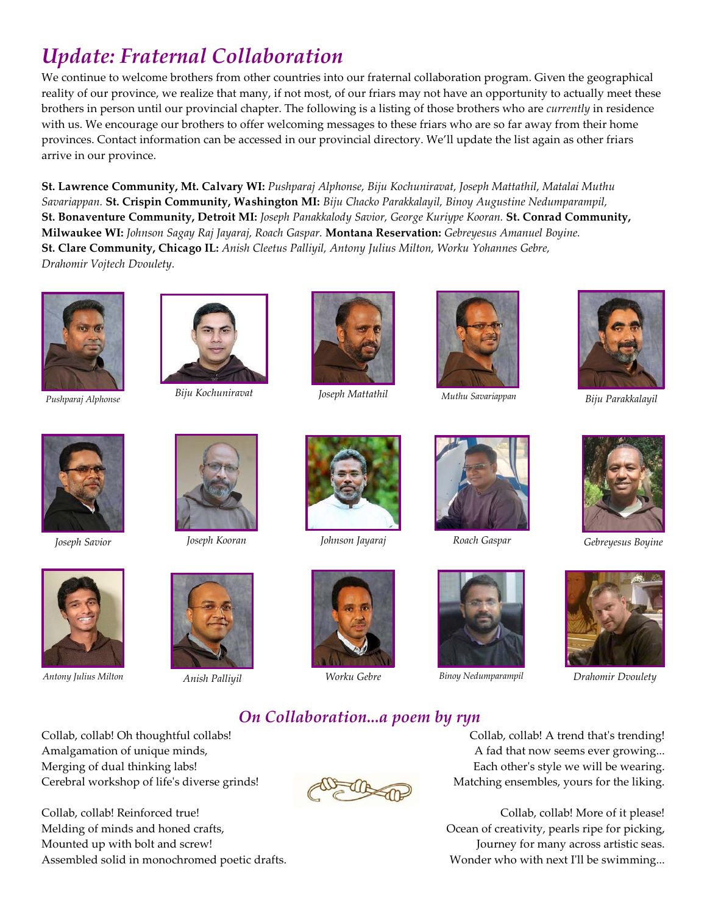## *Update: Fraternal Collaboration*

We continue to welcome brothers from other countries into our fraternal collaboration program. Given the geographical reality of our province, we realize that many, if not most, of our friars may not have an opportunity to actually meet these brothers in person until our provincial chapter. The following is a listing of those brothers who are *currently* in residence with us. We encourage our brothers to offer welcoming messages to these friars who are so far away from their home provinces. Contact information can be accessed in our provincial directory. We'll update the list again as other friars arrive in our province.

**St. Lawrence Community, Mt. Calvary WI:** *Pushparaj Alphonse, Biju Kochuniravat, Joseph Mattathil, Matalai Muthu Savariappan.* **St. Crispin Community, Washington MI:** *Biju Chacko Parakkalayil, Binoy Augustine Nedumparampil,* **St. Bonaventure Community, Detroit MI:** *Joseph Panakkalody Savior, George Kuriype Kooran.* **St. Conrad Community, Milwaukee WI:** *Johnson Sagay Raj Jayaraj, Roach Gaspar.* **Montana Reservation:** *Gebreyesus Amanuel Boyine.* **St. Clare Community, Chicago IL:** *Anish Cleetus Palliyil, Antony Julius Milton, Worku Yohannes Gebre, Drahomir Vojtech Dvoulety.*



*Pushparaj Alphonse*



*Biju Kochuniravat*



*Joseph Mattathil Muthu Savariappan*





*Biju Parakkalayil*



*Joseph Savior*





*Antony Julius Milton Worku Gebre*





*Joseph Kooran Johnson Jayaraj*







*Anish Palliyil Binoy Nedumparampil*





*Drahomir Dvoulety*

#### *On Collaboration...a poem by ryn*

Collab, collab! Oh thoughtful collabs! Amalgamation of unique minds, Merging of dual thinking labs! Cerebral workshop of life's diverse grinds!

Collab, collab! Reinforced true! Melding of minds and honed crafts, Mounted up with bolt and screw! Assembled solid in monochromed poetic drafts.



Collab, collab! A trend that's trending! A fad that now seems ever growing... Each other's style we will be wearing. Matching ensembles, yours for the liking.

Collab, collab! More of it please! Ocean of creativity, pearls ripe for picking, Journey for many across artistic seas. Wonder who with next I'll be swimming...